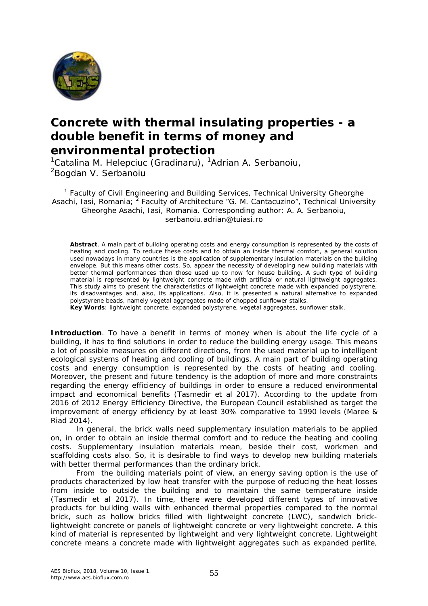

## **Concrete with thermal insulating properties - a double benefit in terms of money and environmental protection**

<sup>1</sup>Catalina M. Helepciuc (Gradinaru), <sup>1</sup>Adrian A. Serbanoiu, <sup>2</sup>Bogdan V. Serbanoiu

<sup>1</sup> Faculty of Civil Engineering and Building Services, Technical University Gheorghe Asachi, Iasi, Romania; <sup>2</sup> Faculty of Architecture "G. M. Cantacuzino", Technical University Gheorghe Asachi, Iasi, Romania. Corresponding author: A. A. Serbanoiu, serbanoiu.adrian@tuiasi.ro

**Abstract**. A main part of building operating costs and energy consumption is represented by the costs of heating and cooling. To reduce these costs and to obtain an inside thermal comfort, a general solution used nowadays in many countries is the application of supplementary insulation materials on the building envelope. But this means other costs. So, appear the necessity of developing new building materials with better thermal performances than those used up to now for house building. A such type of building material is represented by lightweight concrete made with artificial or natural lightweight aggregates. This study aims to present the characteristics of lightweight concrete made with expanded polystyrene, its disadvantages and, also, its applications. Also, it is presented a natural alternative to expanded polystyrene beads, namely vegetal aggregates made of chopped sunflower stalks.

**Key Words**: lightweight concrete, expanded polystyrene, vegetal aggregates, sunflower stalk.

**Introduction**. To have a benefit in terms of money when is about the life cycle of a building, it has to find solutions in order to reduce the building energy usage. This means a lot of possible measures on different directions, from the used material up to intelligent ecological systems of heating and cooling of buildings. A main part of building operating costs and energy consumption is represented by the costs of heating and cooling. Moreover, the present and future tendency is the adoption of more and more constraints regarding the energy efficiency of buildings in order to ensure a reduced environmental impact and economical benefits (Tasmedir et al 2017). According to the update from 2016 of 2012 Energy Efficiency Directive, the European Council established as target the improvement of energy efficiency by at least 30% comparative to 1990 levels (Maree & Riad 2014).

In general, the brick walls need supplementary insulation materials to be applied on, in order to obtain an inside thermal comfort and to reduce the heating and cooling costs. Supplementary insulation materials mean, beside their cost, workmen and scaffolding costs also. So, it is desirable to find ways to develop new building materials with better thermal performances than the ordinary brick.

From the building materials point of view, an energy saving option is the use of products characterized by low heat transfer with the purpose of reducing the heat losses from inside to outside the building and to maintain the same temperature inside (Tasmedir et al 2017). In time, there were developed different types of innovative products for building walls with enhanced thermal properties compared to the normal brick, such as hollow bricks filled with lightweight concrete (LWC), sandwich bricklightweight concrete or panels of lightweight concrete or very lightweight concrete. A this kind of material is represented by lightweight and very lightweight concrete. Lightweight concrete means a concrete made with lightweight aggregates such as expanded perlite,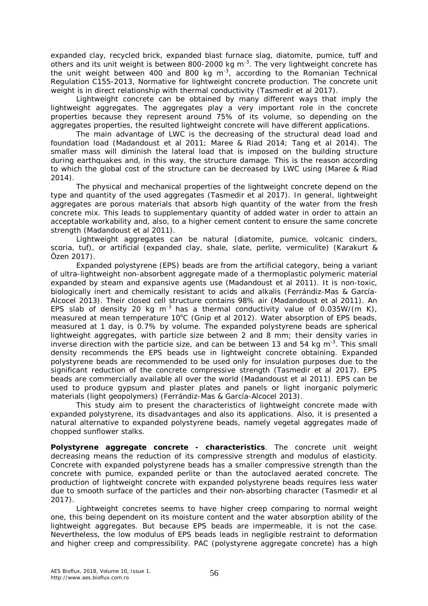expanded clay, recycled brick, expanded blast furnace slag, diatomite, pumice, tuff and others and its unit weight is between 800-2000 kg m<sup>-3</sup>. The very lightweight concrete has the unit weight between 400 and 800 kg  $m^{-3}$ , according to the Romanian Technical Regulation C155-2013, Normative for lightweight concrete production. The concrete unit weight is in direct relationship with thermal conductivity (Tasmedir et al 2017).

Lightweight concrete can be obtained by many different ways that imply the lightweight aggregates. The aggregates play a very important role in the concrete properties because they represent around 75% of its volume, so depending on the aggregates properties, the resulted lightweight concrete will have different applications.

The main advantage of LWC is the decreasing of the structural dead load and foundation load (Madandoust et al 2011; Maree & Riad 2014; Tang et al 2014). The smaller mass will diminish the lateral load that is imposed on the building structure during earthquakes and, in this way, the structure damage. This is the reason according to which the global cost of the structure can be decreased by LWC using (Maree & Riad 2014).

The physical and mechanical properties of the lightweight concrete depend on the type and quantity of the used aggregates (Tasmedir et al 2017). In general, lightweight aggregates are porous materials that absorb high quantity of the water from the fresh concrete mix. This leads to supplementary quantity of added water in order to attain an acceptable workability and, also, to a higher cement content to ensure the same concrete strength (Madandoust et al 2011).

Lightweight aggregates can be natural (diatomite, pumice, volcanic cinders, scoria, tuf), or artificial (expanded clay, shale, slate, perlite, vermiculite) (Karakurt & Özen 2017).

Expanded polystyrene (EPS) beads are from the artificial category, being a variant of ultra-lightweight non-absorbent aggregate made of a thermoplastic polymeric material expanded by steam and expansive agents use (Madandoust et al 2011). It is non-toxic, biologically inert and chemically resistant to acids and alkalis (Ferrándiz-Mas & García-Alcocel 2013). Their closed cell structure contains 98% air (Madandoust et al 2011). An EPS slab of density 20 kg m<sup>-3</sup> has a thermal conductivity value of 0.035W/(m K), measured at mean temperature 10°C (Gnip et al 2012). Water absorption of EPS beads, measured at 1 day, is 0.7% by volume. The expanded polystyrene beads are spherical lightweight aggregates, with particle size between 2 and 8 mm; their density varies in inverse direction with the particle size, and can be between 13 and 54 kg m<sup>-3</sup>. This small density recommends the EPS beads use in lightweight concrete obtaining. Expanded polystyrene beads are recommended to be used only for insulation purposes due to the significant reduction of the concrete compressive strength (Tasmedir et al 2017). EPS beads are commercially available all over the world (Madandoust et al 2011). EPS can be used to produce gypsum and plaster plates and panels or light inorganic polymeric materials (light geopolymers) (Ferrándiz-Mas & García-Alcocel 2013).

This study aim to present the characteristics of lightweight concrete made with expanded polystyrene, its disadvantages and also its applications. Also, it is presented a natural alternative to expanded polystyrene beads, namely vegetal aggregates made of chopped sunflower stalks.

**Polystyrene aggregate concrete - characteristics**. The concrete unit weight decreasing means the reduction of its compressive strength and modulus of elasticity. Concrete with expanded polystyrene beads has a smaller compressive strength than the concrete with pumice, expanded perlite or than the autoclaved aerated concrete. The production of lightweight concrete with expanded polystyrene beads requires less water due to smooth surface of the particles and their non-absorbing character (Tasmedir et al 2017).

Lightweight concretes seems to have higher creep comparing to normal weight one, this being dependent on its moisture content and the water absorption ability of the lightweight aggregates. But because EPS beads are impermeable, it is not the case. Nevertheless, the low modulus of EPS beads leads in negligible restraint to deformation and higher creep and compressibility. PAC (polystyrene aggregate concrete) has a high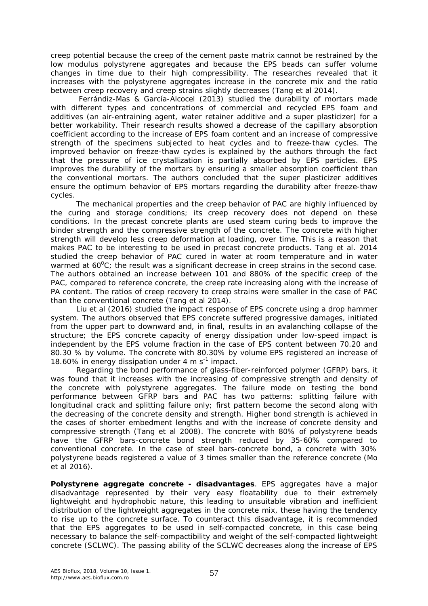creep potential because the creep of the cement paste matrix cannot be restrained by the low modulus polystyrene aggregates and because the EPS beads can suffer volume changes in time due to their high compressibility. The researches revealed that it increases with the polystyrene aggregates increase in the concrete mix and the ratio between creep recovery and creep strains slightly decreases (Tang et al 2014).

Ferrándiz-Mas & García-Alcocel (2013) studied the durability of mortars made with different types and concentrations of commercial and recycled EPS foam and additives (an air-entraining agent, water retainer additive and a super plasticizer) for a better workability. Their research results showed a decrease of the capillary absorption coefficient according to the increase of EPS foam content and an increase of compressive strength of the specimens subjected to heat cycles and to freeze-thaw cycles. The improved behavior on freeze-thaw cycles is explained by the authors through the fact that the pressure of ice crystallization is partially absorbed by EPS particles. EPS improves the durability of the mortars by ensuring a smaller absorption coefficient than the conventional mortars. The authors concluded that the super plasticizer additives ensure the optimum behavior of EPS mortars regarding the durability after freeze-thaw cycles.

The mechanical properties and the creep behavior of PAC are highly influenced by the curing and storage conditions; its creep recovery does not depend on these conditions. In the precast concrete plants are used steam curing beds to improve the binder strength and the compressive strength of the concrete. The concrete with higher strength will develop less creep deformation at loading, over time. This is a reason that makes PAC to be interesting to be used in precast concrete products. Tang et al. 2014 studied the creep behavior of PAC cured in water at room temperature and in water warmed at  $60^{\circ}$ C; the result was a significant decrease in creep strains in the second case. The authors obtained an increase between 101 and 880% of the specific creep of the PAC, compared to reference concrete, the creep rate increasing along with the increase of PA content. The ratios of creep recovery to creep strains were smaller in the case of PAC than the conventional concrete (Tang et al 2014).

Liu et al (2016) studied the impact response of EPS concrete using a drop hammer system. The authors observed that EPS concrete suffered progressive damages, initiated from the upper part to downward and, in final, results in an avalanching collapse of the structure; the EPS concrete capacity of energy dissipation under low-speed impact is independent by the EPS volume fraction in the case of EPS content between 70.20 and 80.30 % by volume. The concrete with 80.30% by volume EPS registered an increase of 18.60% in energy dissipation under  $4 \text{ m s}^{-1}$  impact.

Regarding the bond performance of glass-fiber-reinforced polymer (GFRP) bars, it was found that it increases with the increasing of compressive strength and density of the concrete with polystyrene aggregates. The failure mode on testing the bond performance between GFRP bars and PAC has two patterns: splitting failure with longitudinal crack and splitting failure only; first pattern become the second along with the decreasing of the concrete density and strength. Higher bond strength is achieved in the cases of shorter embedment lengths and with the increase of concrete density and compressive strength (Tang et al 2008). The concrete with 80% of polystyrene beads have the GFRP bars-concrete bond strength reduced by 35-60% compared to conventional concrete. In the case of steel bars-concrete bond, a concrete with 30% polystyrene beads registered a value of 3 times smaller than the reference concrete (Mo et al 2016).

**Polystyrene aggregate concrete - disadvantages**. EPS aggregates have a major disadvantage represented by their very easy floatability due to their extremely lightweight and hydrophobic nature, this leading to unsuitable vibration and inefficient distribution of the lightweight aggregates in the concrete mix, these having the tendency to rise up to the concrete surface. To counteract this disadvantage, it is recommended that the EPS aggregates to be used in self-compacted concrete, in this case being necessary to balance the self-compactibility and weight of the self-compacted lightweight concrete (SCLWC). The passing ability of the SCLWC decreases along the increase of EPS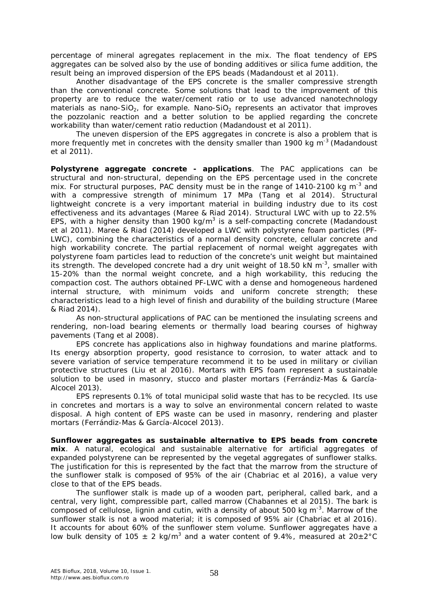percentage of mineral agregates replacement in the mix. The float tendency of EPS aggregates can be solved also by the use of bonding additives or silica fume addition, the result being an improved dispersion of the EPS beads (Madandoust et al 2011).

Another disadvantage of the EPS concrete is the smaller compressive strength than the conventional concrete. Some solutions that lead to the improvement of this property are to reduce the water/cement ratio or to use advanced nanotechnology materials as nano-SiO<sub>2</sub>, for example. Nano-SiO<sub>2</sub> represents an activator that improves the pozzolanic reaction and a better solution to be applied regarding the concrete workability than water/cement ratio reduction (Madandoust et al 2011).

The uneven dispersion of the EPS aggregates in concrete is also a problem that is more frequently met in concretes with the density smaller than 1900 kg m<sup>-3</sup> (Madandoust et al 2011).

**Polystyrene aggregate concrete - applications**. The PAC applications can be structural and non-structural, depending on the EPS percentage used in the concrete mix. For structural purposes, PAC density must be in the range of 1410-2100 kg m<sup>-3</sup> and with a compressive strength of minimum 17 MPa (Tang et al 2014). Structural lightweight concrete is a very important material in building industry due to its cost effectiveness and its advantages (Maree & Riad 2014). Structural LWC with up to 22.5% EPS, with a higher density than 1900 kg/m<sup>3</sup> is a self-compacting concrete (Madandoust et al 2011). Maree & Riad (2014) developed a LWC with polystyrene foam particles (PF-LWC), combining the characteristics of a normal density concrete, cellular concrete and high workability concrete. The partial replacement of normal weight aggregates with polystyrene foam particles lead to reduction of the concrete's unit weight but maintained its strength. The developed concrete had a dry unit weight of 18.50 kN  $m^{-3}$ , smaller with 15-20% than the normal weight concrete, and a high workability, this reducing the compaction cost. The authors obtained PF-LWC with a dense and homogeneous hardened internal structure, with minimum voids and uniform concrete strength; these characteristics lead to a high level of finish and durability of the building structure (Maree & Riad 2014).

As non-structural applications of PAC can be mentioned the insulating screens and rendering, non-load bearing elements or thermally load bearing courses of highway pavements (Tang et al 2008).

EPS concrete has applications also in highway foundations and marine platforms. Its energy absorption property, good resistance to corrosion, to water attack and to severe variation of service temperature recommend it to be used in military or civilian protective structures (Liu et al 2016). Mortars with EPS foam represent a sustainable solution to be used in masonry, stucco and plaster mortars (Ferrándiz-Mas & García-Alcocel 2013).

EPS represents 0.1% of total municipal solid waste that has to be recycled. Its use in concretes and mortars is a way to solve an environmental concern related to waste disposal. A high content of EPS waste can be used in masonry, rendering and plaster mortars (Ferrándiz-Mas & García-Alcocel 2013).

**Sunflower aggregates as sustainable alternative to EPS beads from concrete mix**. A natural, ecological and sustainable alternative for artificial aggregates of expanded polystyrene can be represented by the vegetal aggregates of sunflower stalks. The justification for this is represented by the fact that the marrow from the structure of the sunflower stalk is composed of 95% of the air (Chabriac et al 2016), a value very close to that of the EPS beads.

The sunflower stalk is made up of a wooden part, peripheral, called bark, and a central, very light, compressible part, called marrow (Chabannes et al 2015). The bark is composed of cellulose, lignin and cutin, with a density of about 500 kg m $3$ . Marrow of the sunflower stalk is not a wood material; it is composed of 95% air (Chabriac et al 2016). It accounts for about 60% of the sunflower stem volume. Sunflower aggregates have a low bulk density of 105  $\pm$  2 kg/m<sup>3</sup> and a water content of 9.4%, measured at 20 $\pm$ 2°C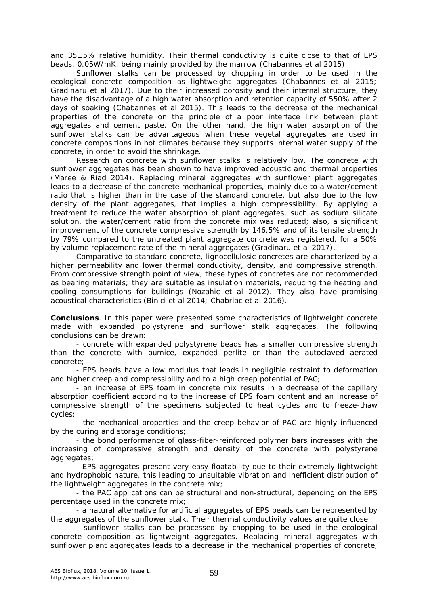and  $35\pm5\%$  relative humidity. Their thermal conductivity is quite close to that of EPS beads, 0.05W/mK, being mainly provided by the marrow (Chabannes et al 2015).

Sunflower stalks can be processed by chopping in order to be used in the ecological concrete composition as lightweight aggregates (Chabannes et al 2015; Gradinaru et al 2017). Due to their increased porosity and their internal structure, they have the disadvantage of a high water absorption and retention capacity of 550% after 2 days of soaking (Chabannes et al 2015). This leads to the decrease of the mechanical properties of the concrete on the principle of a poor interface link between plant aggregates and cement paste. On the other hand, the high water absorption of the sunflower stalks can be advantageous when these vegetal aggregates are used in concrete compositions in hot climates because they supports internal water supply of the concrete, in order to avoid the shrinkage.

Research on concrete with sunflower stalks is relatively low. The concrete with sunflower aggregates has been shown to have improved acoustic and thermal properties (Maree & Riad 2014). Replacing mineral aggregates with sunflower plant aggregates leads to a decrease of the concrete mechanical properties, mainly due to a water/cement ratio that is higher than in the case of the standard concrete, but also due to the low density of the plant aggregates, that implies a high compressibility. By applying a treatment to reduce the water absorption of plant aggregates, such as sodium silicate solution, the water/cement ratio from the concrete mix was reduced; also, a significant improvement of the concrete compressive strength by 146.5% and of its tensile strength by 79% compared to the untreated plant aggregate concrete was registered, for a 50% by volume replacement rate of the mineral aggregates (Gradinaru et al 2017).

Comparative to standard concrete, lignocellulosic concretes are characterized by a higher permeability and lower thermal conductivity, density, and compressive strength. From compressive strength point of view, these types of concretes are not recommended as bearing materials; they are suitable as insulation materials, reducing the heating and cooling consumptions for buildings (Nozahic et al 2012). They also have promising acoustical characteristics (Binici et al 2014; Chabriac et al 2016).

**Conclusions**. In this paper were presented some characteristics of lightweight concrete made with expanded polystyrene and sunflower stalk aggregates. The following conclusions can be drawn:

- concrete with expanded polystyrene beads has a smaller compressive strength than the concrete with pumice, expanded perlite or than the autoclaved aerated concrete;

- EPS beads have a low modulus that leads in negligible restraint to deformation and higher creep and compressibility and to a high creep potential of PAC;

- an increase of EPS foam in concrete mix results in a decrease of the capillary absorption coefficient according to the increase of EPS foam content and an increase of compressive strength of the specimens subjected to heat cycles and to freeze-thaw cycles;

- the mechanical properties and the creep behavior of PAC are highly influenced by the curing and storage conditions;

- the bond performance of glass-fiber-reinforced polymer bars increases with the increasing of compressive strength and density of the concrete with polystyrene aggregates;

- EPS aggregates present very easy floatability due to their extremely lightweight and hydrophobic nature, this leading to unsuitable vibration and inefficient distribution of the lightweight aggregates in the concrete mix;

- the PAC applications can be structural and non-structural, depending on the EPS percentage used in the concrete mix;

- a natural alternative for artificial aggregates of EPS beads can be represented by the aggregates of the sunflower stalk. Their thermal conductivity values are quite close;

- sunflower stalks can be processed by chopping to be used in the ecological concrete composition as lightweight aggregates. Replacing mineral aggregates with sunflower plant aggregates leads to a decrease in the mechanical properties of concrete,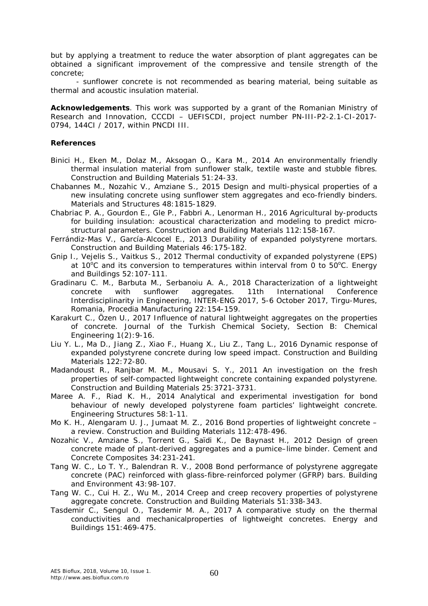but by applying a treatment to reduce the water absorption of plant aggregates can be obtained a significant improvement of the compressive and tensile strength of the concrete;

- sunflower concrete is not recommended as bearing material, being suitable as thermal and acoustic insulation material.

**Acknowledgements**. This work was supported by a grant of the Romanian Ministry of Research and Innovation, CCCDI – UEFISCDI, project number PN-III-P2-2.1-CI-2017- 0794, 144CI / 2017, within PNCDI III.

## **References**

- Binici H., Eken M., Dolaz M., Aksogan O., Kara M., 2014 An environmentally friendly thermal insulation material from sunflower stalk, textile waste and stubble fibres. Construction and Building Materials 51:24-33.
- Chabannes M., Nozahic V., Amziane S., 2015 Design and multi-physical properties of a new insulating concrete using sunflower stem aggregates and eco-friendly binders. Materials and Structures 48:1815-1829.
- Chabriac P. A., Gourdon E., Gle P., Fabbri A., Lenorman H., 2016 Agricultural by-products for building insulation: acoustical characterization and modeling to predict microstructural parameters. Construction and Building Materials 112:158-167.
- Ferrándiz-Mas V., García-Alcocel E., 2013 Durability of expanded polystyrene mortars. Construction and Building Materials 46:175-182.
- Gnip I., Vejelis S., Vaitkus S., 2012 Thermal conductivity of expanded polystyrene (EPS) at 10 $^{\circ}$ C and its conversion to temperatures within interval from 0 to 50 $^{\circ}$ C. Energy and Buildings 52:107-111.
- Gradinaru C. M., Barbuta M., Serbanoiu A. A., 2018 Characterization of a lightweight concrete with sunflower aggregates. 11th International Conference Interdisciplinarity in Engineering, INTER-ENG 2017, 5-6 October 2017, Tirgu-Mures, Romania, Procedia Manufacturing 22:154-159.
- Karakurt C., Özen U., 2017 Influence of natural lightweight aggregates on the properties of concrete. Journal of the Turkish Chemical Society, Section B: Chemical Engineering  $1(2)$ : 9-16.
- Liu Y. L., Ma D., Jiang Z., Xiao F., Huang X., Liu Z., Tang L., 2016 Dynamic response of expanded polystyrene concrete during low speed impact. Construction and Building Materials 122:72-80.
- Madandoust R., Ranjbar M. M., Mousavi S. Y., 2011 An investigation on the fresh properties of self-compacted lightweight concrete containing expanded polystyrene. Construction and Building Materials 25:3721-3731.
- Maree A. F., Riad K. H., 2014 Analytical and experimental investigation for bond behaviour of newly developed polystyrene foam particles' lightweight concrete. Engineering Structures 58:1-11.
- Mo K. H., Alengaram U. J., Jumaat M. Z., 2016 Bond properties of lightweight concrete a review. Construction and Building Materials 112:478-496.
- Nozahic V., Amziane S., Torrent G., Saïdi K., De Baynast H., 2012 Design of green concrete made of plant-derived aggregates and a pumice–lime binder. Cement and Concrete Composites 34:231-241.
- Tang W. C., Lo T. Y., Balendran R. V., 2008 Bond performance of polystyrene aggregate concrete (PAC) reinforced with glass-fibre-reinforced polymer (GFRP) bars. Building and Environment 43:98-107.
- Tang W. C., Cui H. Z., Wu M., 2014 Creep and creep recovery properties of polystyrene aggregate concrete. Construction and Building Materials 51:338-343.
- Tasdemir C., Sengul O., Tasdemir M. A., 2017 A comparative study on the thermal conductivities and mechanicalproperties of lightweight concretes. Energy and Buildings 151:469-475.